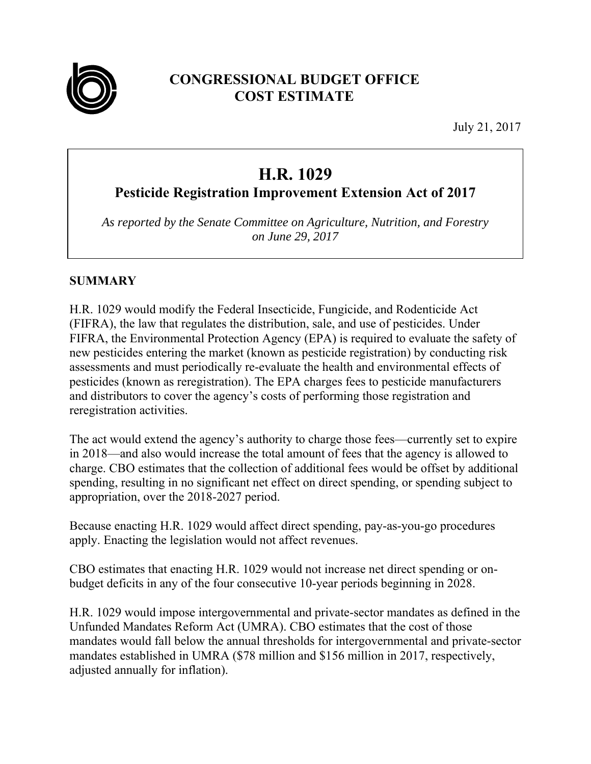

# **CONGRESSIONAL BUDGET OFFICE COST ESTIMATE**

July 21, 2017

# **H.R. 1029**

# **Pesticide Registration Improvement Extension Act of 2017**

*As reported by the Senate Committee on Agriculture, Nutrition, and Forestry on June 29, 2017*

## **SUMMARY**

H.R. 1029 would modify the Federal Insecticide, Fungicide, and Rodenticide Act (FIFRA), the law that regulates the distribution, sale, and use of pesticides. Under FIFRA, the Environmental Protection Agency (EPA) is required to evaluate the safety of new pesticides entering the market (known as pesticide registration) by conducting risk assessments and must periodically re-evaluate the health and environmental effects of pesticides (known as reregistration). The EPA charges fees to pesticide manufacturers and distributors to cover the agency's costs of performing those registration and reregistration activities.

The act would extend the agency's authority to charge those fees—currently set to expire in 2018—and also would increase the total amount of fees that the agency is allowed to charge. CBO estimates that the collection of additional fees would be offset by additional spending, resulting in no significant net effect on direct spending, or spending subject to appropriation, over the 2018-2027 period.

Because enacting H.R. 1029 would affect direct spending, pay-as-you-go procedures apply. Enacting the legislation would not affect revenues.

CBO estimates that enacting H.R. 1029 would not increase net direct spending or onbudget deficits in any of the four consecutive 10-year periods beginning in 2028.

H.R. 1029 would impose intergovernmental and private-sector mandates as defined in the Unfunded Mandates Reform Act (UMRA). CBO estimates that the cost of those mandates would fall below the annual thresholds for intergovernmental and private-sector mandates established in UMRA (\$78 million and \$156 million in 2017, respectively, adjusted annually for inflation).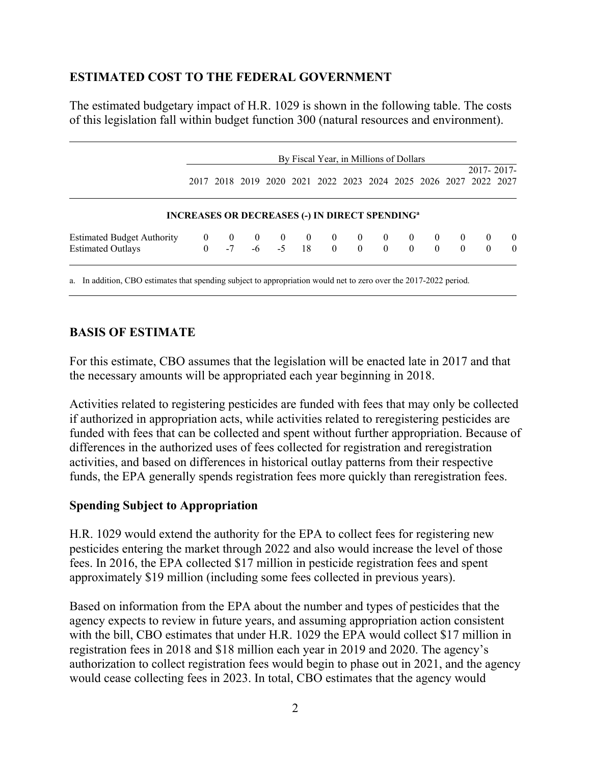### **ESTIMATED COST TO THE FEDERAL GOVERNMENT**

The estimated budgetary impact of H.R. 1029 is shown in the following table. The costs of this legislation fall within budget function 300 (natural resources and environment).

|                                   | By Fiscal Year, in Millions of Dollars<br>2017-2017-             |  |  |                                                                  |  |  |  |  |  |  |          |          |              |
|-----------------------------------|------------------------------------------------------------------|--|--|------------------------------------------------------------------|--|--|--|--|--|--|----------|----------|--------------|
|                                   |                                                                  |  |  | 2017 2018 2019 2020 2021 2022 2023 2024 2025 2026 2027 2022 2027 |  |  |  |  |  |  |          |          |              |
|                                   |                                                                  |  |  |                                                                  |  |  |  |  |  |  |          |          |              |
|                                   | <b>INCREASES OR DECREASES (-) IN DIRECT SPENDING<sup>a</sup></b> |  |  |                                                                  |  |  |  |  |  |  |          |          |              |
| <b>Estimated Budget Authority</b> |                                                                  |  |  | $-7$ $-6$ $-5$ $18$ 0                                            |  |  |  |  |  |  | $\theta$ | $\theta$ | $\mathbf{0}$ |

a. In addition, CBO estimates that spending subject to appropriation would net to zero over the 2017-2022 period.

#### **BASIS OF ESTIMATE**

For this estimate, CBO assumes that the legislation will be enacted late in 2017 and that the necessary amounts will be appropriated each year beginning in 2018.

Activities related to registering pesticides are funded with fees that may only be collected if authorized in appropriation acts, while activities related to reregistering pesticides are funded with fees that can be collected and spent without further appropriation. Because of differences in the authorized uses of fees collected for registration and reregistration activities, and based on differences in historical outlay patterns from their respective funds, the EPA generally spends registration fees more quickly than reregistration fees.

#### **Spending Subject to Appropriation**

H.R. 1029 would extend the authority for the EPA to collect fees for registering new pesticides entering the market through 2022 and also would increase the level of those fees. In 2016, the EPA collected \$17 million in pesticide registration fees and spent approximately \$19 million (including some fees collected in previous years).

Based on information from the EPA about the number and types of pesticides that the agency expects to review in future years, and assuming appropriation action consistent with the bill, CBO estimates that under H.R. 1029 the EPA would collect \$17 million in registration fees in 2018 and \$18 million each year in 2019 and 2020. The agency's authorization to collect registration fees would begin to phase out in 2021, and the agency would cease collecting fees in 2023. In total, CBO estimates that the agency would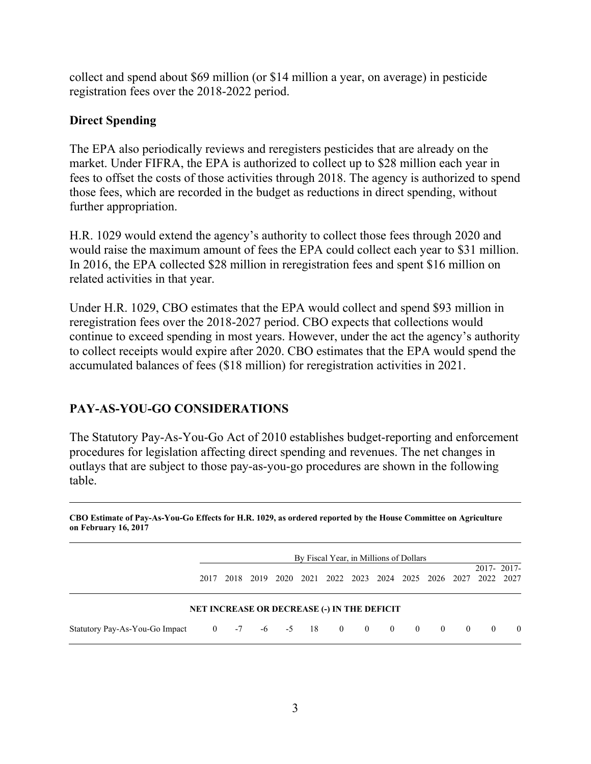collect and spend about \$69 million (or \$14 million a year, on average) in pesticide registration fees over the 2018-2022 period.

## **Direct Spending**

The EPA also periodically reviews and reregisters pesticides that are already on the market. Under FIFRA, the EPA is authorized to collect up to \$28 million each year in fees to offset the costs of those activities through 2018. The agency is authorized to spend those fees, which are recorded in the budget as reductions in direct spending, without further appropriation.

H.R. 1029 would extend the agency's authority to collect those fees through 2020 and would raise the maximum amount of fees the EPA could collect each year to \$31 million. In 2016, the EPA collected \$28 million in reregistration fees and spent \$16 million on related activities in that year.

Under H.R. 1029, CBO estimates that the EPA would collect and spend \$93 million in reregistration fees over the 2018-2027 period. CBO expects that collections would continue to exceed spending in most years. However, under the act the agency's authority to collect receipts would expire after 2020. CBO estimates that the EPA would spend the accumulated balances of fees (\$18 million) for reregistration activities in 2021.

# **PAY-AS-YOU-GO CONSIDERATIONS**

The Statutory Pay-As-You-Go Act of 2010 establishes budget-reporting and enforcement procedures for legislation affecting direct spending and revenues. The net changes in outlays that are subject to those pay-as-you-go procedures are shown in the following table.

**CBO Estimate of Pay-As-You-Go Effects for H.R. 1029, as ordered reported by the House Committee on Agriculture on February 16, 2017** 

|                                                                                     | By Fiscal Year, in Millions of Dollars |  |  |  |  |                                                             |  |  |  |  |                |            |          |
|-------------------------------------------------------------------------------------|----------------------------------------|--|--|--|--|-------------------------------------------------------------|--|--|--|--|----------------|------------|----------|
|                                                                                     | 2017                                   |  |  |  |  | 2018 2019 2020 2021 2022 2023 2024 2025 2026 2027 2022 2027 |  |  |  |  |                | 2017-2017- |          |
|                                                                                     |                                        |  |  |  |  | <b>NET INCREASE OR DECREASE (-) IN THE DEFICIT</b>          |  |  |  |  |                |            |          |
| Statutory Pay-As-You-Go Impact $0 \t -7 \t -6 \t -5 \t 18 \t 0 \t 0 \t 0 \t 0 \t 0$ |                                        |  |  |  |  |                                                             |  |  |  |  | $\overline{0}$ | $\theta$   | $\theta$ |